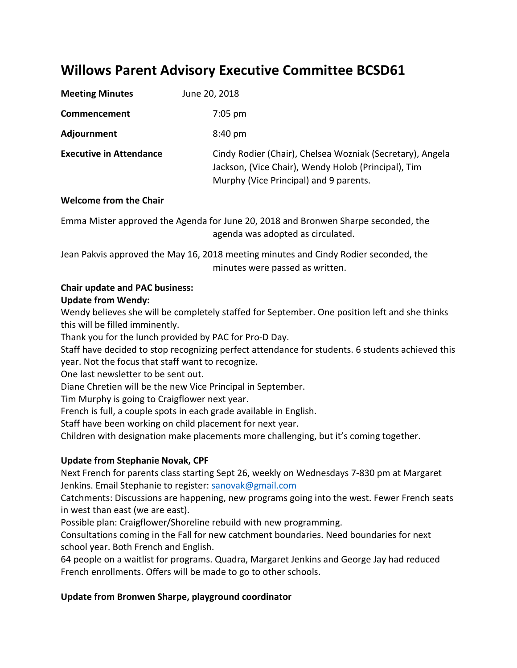# **Willows Parent Advisory Executive Committee BCSD61**

| <b>Meeting Minutes</b>         | June 20, 2018                                                                                                                                              |
|--------------------------------|------------------------------------------------------------------------------------------------------------------------------------------------------------|
| Commencement                   | $7:05$ pm                                                                                                                                                  |
| Adjournment                    | $8:40 \text{ pm}$                                                                                                                                          |
| <b>Executive in Attendance</b> | Cindy Rodier (Chair), Chelsea Wozniak (Secretary), Angela<br>Jackson, (Vice Chair), Wendy Holob (Principal), Tim<br>Murphy (Vice Principal) and 9 parents. |

### **Welcome from the Chair**

Emma Mister approved the Agenda for June 20, 2018 and Bronwen Sharpe seconded, the agenda was adopted as circulated.

Jean Pakvis approved the May 16, 2018 meeting minutes and Cindy Rodier seconded, the minutes were passed as written.

#### **Chair update and PAC business:**

#### **Update from Wendy:**

Wendy believes she will be completely staffed for September. One position left and she thinks this will be filled imminently.

Thank you for the lunch provided by PAC for Pro-D Day.

Staff have decided to stop recognizing perfect attendance for students. 6 students achieved this year. Not the focus that staff want to recognize.

One last newsletter to be sent out.

Diane Chretien will be the new Vice Principal in September.

Tim Murphy is going to Craigflower next year.

French is full, a couple spots in each grade available in English.

Staff have been working on child placement for next year.

Children with designation make placements more challenging, but it's coming together.

#### **Update from Stephanie Novak, CPF**

Next French for parents class starting Sept 26, weekly on Wednesdays 7-830 pm at Margaret Jenkins. Email Stephanie to register: [sanovak@gmail.com](mailto:sanovak@gmail.com)

Catchments: Discussions are happening, new programs going into the west. Fewer French seats in west than east (we are east).

Possible plan: Craigflower/Shoreline rebuild with new programming.

Consultations coming in the Fall for new catchment boundaries. Need boundaries for next school year. Both French and English.

64 people on a waitlist for programs. Quadra, Margaret Jenkins and George Jay had reduced French enrollments. Offers will be made to go to other schools.

#### **Update from Bronwen Sharpe, playground coordinator**